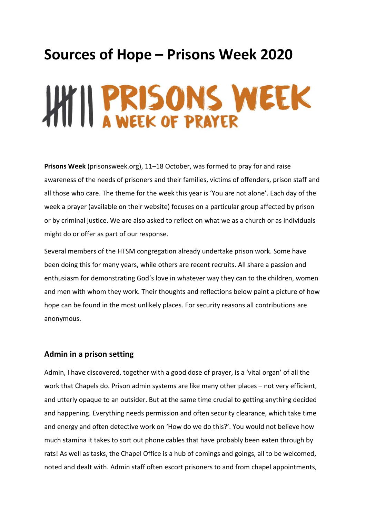# **Sources of Hope – Prisons Week 2020**

# HIT II PRISONS WEEK

**Prisons Week** (prisonsweek.org), 11–18 October, was formed to pray for and raise awareness of the needs of prisoners and their families, victims of offenders, prison staff and all those who care. The theme for the week this year is 'You are not alone'. Each day of the week a prayer (available on their website) focuses on a particular group affected by prison or by criminal justice. We are also asked to reflect on what we as a church or as individuals might do or offer as part of our response.

Several members of the HTSM congregation already undertake prison work. Some have been doing this for many years, while others are recent recruits. All share a passion and enthusiasm for demonstrating God's love in whatever way they can to the children, women and men with whom they work. Their thoughts and reflections below paint a picture of how hope can be found in the most unlikely places. For security reasons all contributions are anonymous.

### **Admin in a prison setting**

Admin, I have discovered, together with a good dose of prayer, is a 'vital organ' of all the work that Chapels do. Prison admin systems are like many other places – not very efficient, and utterly opaque to an outsider. But at the same time crucial to getting anything decided and happening. Everything needs permission and often security clearance, which take time and energy and often detective work on 'How do we do this?'. You would not believe how much stamina it takes to sort out phone cables that have probably been eaten through by rats! As well as tasks, the Chapel Office is a hub of comings and goings, all to be welcomed, noted and dealt with. Admin staff often escort prisoners to and from chapel appointments,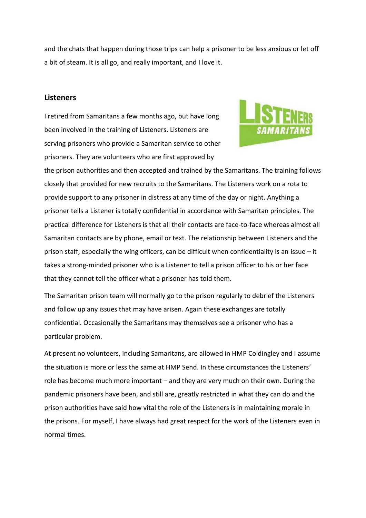and the chats that happen during those trips can help a prisoner to be less anxious or let off a bit of steam. It is all go, and really important, and I love it.

#### **Listeners**

I retired from Samaritans a few months ago, but have long been involved in the training of Listeners. Listeners are serving prisoners who provide a Samaritan service to other prisoners. They are volunteers who are first approved by



the prison authorities and then accepted and trained by the Samaritans. The training follows closely that provided for new recruits to the Samaritans. The Listeners work on a rota to provide support to any prisoner in distress at any time of the day or night. Anything a prisoner tells a Listener is totally confidential in accordance with Samaritan principles. The practical difference for Listeners is that all their contacts are face-to-face whereas almost all Samaritan contacts are by phone, email or text. The relationship between Listeners and the prison staff, especially the wing officers, can be difficult when confidentiality is an issue – it takes a strong-minded prisoner who is a Listener to tell a prison officer to his or her face that they cannot tell the officer what a prisoner has told them.

The Samaritan prison team will normally go to the prison regularly to debrief the Listeners and follow up any issues that may have arisen. Again these exchanges are totally confidential. Occasionally the Samaritans may themselves see a prisoner who has a particular problem.

At present no volunteers, including Samaritans, are allowed in HMP Coldingley and I assume the situation is more or less the same at HMP Send. In these circumstances the Listeners' role has become much more important – and they are very much on their own. During the pandemic prisoners have been, and still are, greatly restricted in what they can do and the prison authorities have said how vital the role of the Listeners is in maintaining morale in the prisons. For myself, I have always had great respect for the work of the Listeners even in normal times.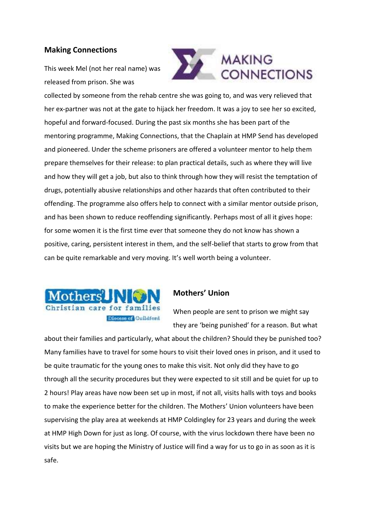# **Making Connections**

This week Mel (not her real name) was released from prison. She was



collected by someone from the rehab centre she was going to, and was very relieved that her ex-partner was not at the gate to hijack her freedom. It was a joy to see her so excited, hopeful and forward-focused. During the past six months she has been part of the mentoring programme, Making Connections, that the Chaplain at HMP Send has developed and pioneered. Under the scheme prisoners are offered a volunteer mentor to help them prepare themselves for their release: to plan practical details, such as where they will live and how they will get a job, but also to think through how they will resist the temptation of drugs, potentially abusive relationships and other hazards that often contributed to their offending. The programme also offers help to connect with a similar mentor outside prison, and has been shown to reduce reoffending significantly. Perhaps most of all it gives hope: for some women it is the first time ever that someone they do not know has shown a positive, caring, persistent interest in them, and the self-belief that starts to grow from that can be quite remarkable and very moving. It's well worth being a volunteer.



# **Mothers' Union**

When people are sent to prison we might say they are 'being punished' for a reason. But what

about their families and particularly, what about the children? Should they be punished too? Many families have to travel for some hours to visit their loved ones in prison, and it used to be quite traumatic for the young ones to make this visit. Not only did they have to go through all the security procedures but they were expected to sit still and be quiet for up to 2 hours! Play areas have now been set up in most, if not all, visits halls with toys and books to make the experience better for the children. The Mothers' Union volunteers have been supervising the play area at weekends at HMP Coldingley for 23 years and during the week at HMP High Down for just as long. Of course, with the virus lockdown there have been no visits but we are hoping the Ministry of Justice will find a way for us to go in as soon as it is safe.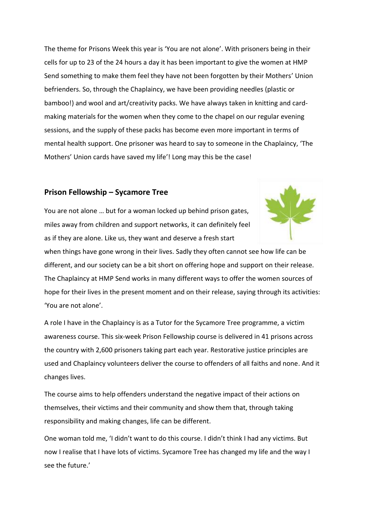The theme for Prisons Week this year is 'You are not alone'. With prisoners being in their cells for up to 23 of the 24 hours a day it has been important to give the women at HMP Send something to make them feel they have not been forgotten by their Mothers' Union befrienders. So, through the Chaplaincy, we have been providing needles (plastic or bamboo!) and wool and art/creativity packs. We have always taken in knitting and cardmaking materials for the women when they come to the chapel on our regular evening sessions, and the supply of these packs has become even more important in terms of mental health support. One prisoner was heard to say to someone in the Chaplaincy, 'The Mothers' Union cards have saved my life'! Long may this be the case!

## **Prison Fellowship – Sycamore Tree**

You are not alone … but for a woman locked up behind prison gates, miles away from children and support networks, it can definitely feel as if they are alone. Like us, they want and deserve a fresh start



when things have gone wrong in their lives. Sadly they often cannot see how life can be different, and our society can be a bit short on offering hope and support on their release. The Chaplaincy at HMP Send works in many different ways to offer the women sources of hope for their lives in the present moment and on their release, saying through its activities: 'You are not alone'.

A role I have in the Chaplaincy is as a Tutor for the Sycamore Tree programme, a victim awareness course. This six-week Prison Fellowship course is delivered in 41 prisons across the country with 2,600 prisoners taking part each year. Restorative justice principles are used and Chaplaincy volunteers deliver the course to offenders of all faiths and none. And it changes lives.

The course aims to help offenders understand the negative impact of their actions on themselves, their victims and their community and show them that, through taking responsibility and making changes, life can be different.

One woman told me, 'I didn't want to do this course. I didn't think I had any victims. But now I realise that I have lots of victims. Sycamore Tree has changed my life and the way I see the future.'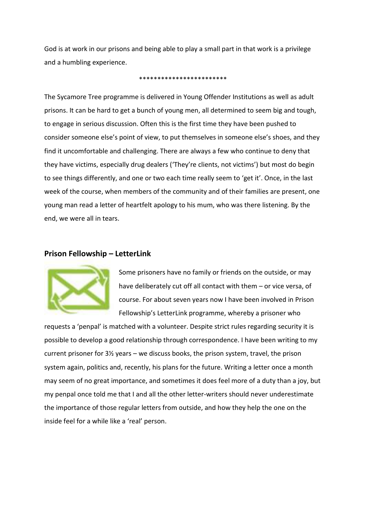God is at work in our prisons and being able to play a small part in that work is a privilege and a humbling experience.

#### \*\*\*\*\*\*\*\*\*\*\*\*\*\*\*\*\*\*\*\*\*\*\*\*

The Sycamore Tree programme is delivered in Young Offender Institutions as well as adult prisons. It can be hard to get a bunch of young men, all determined to seem big and tough, to engage in serious discussion. Often this is the first time they have been pushed to consider someone else's point of view, to put themselves in someone else's shoes, and they find it uncomfortable and challenging. There are always a few who continue to deny that they have victims, especially drug dealers ('They're clients, not victims') but most do begin to see things differently, and one or two each time really seem to 'get it'. Once, in the last week of the course, when members of the community and of their families are present, one young man read a letter of heartfelt apology to his mum, who was there listening. By the end, we were all in tears.

#### **Prison Fellowship – LetterLink**



Some prisoners have no family or friends on the outside, or may have deliberately cut off all contact with them – or vice versa, of course. For about seven years now I have been involved in Prison Fellowship's LetterLink programme, whereby a prisoner who

requests a 'penpal' is matched with a volunteer. Despite strict rules regarding security it is possible to develop a good relationship through correspondence. I have been writing to my current prisoner for  $3\frac{1}{2}$  years – we discuss books, the prison system, travel, the prison system again, politics and, recently, his plans for the future. Writing a letter once a month may seem of no great importance, and sometimes it does feel more of a duty than a joy, but my penpal once told me that I and all the other letter-writers should never underestimate the importance of those regular letters from outside, and how they help the one on the inside feel for a while like a 'real' person.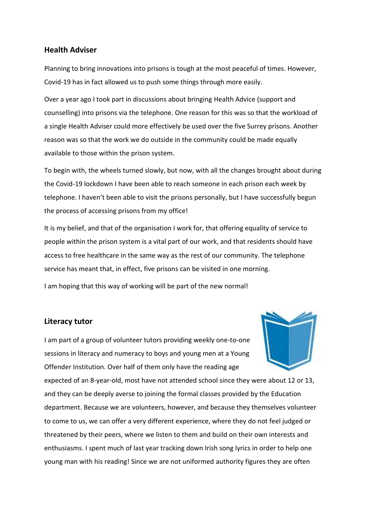### **Health Adviser**

Planning to bring innovations into prisons is tough at the most peaceful of times. However, Covid-19 has in fact allowed us to push some things through more easily.

Over a year ago I took part in discussions about bringing Health Advice (support and counselling) into prisons via the telephone. One reason for this was so that the workload of a single Health Adviser could more effectively be used over the five Surrey prisons. Another reason was so that the work we do outside in the community could be made equally available to those within the prison system.

To begin with, the wheels turned slowly, but now, with all the changes brought about during the Covid-19 lockdown I have been able to reach someone in each prison each week by telephone. I haven't been able to visit the prisons personally, but I have successfully begun the process of accessing prisons from my office!

It is my belief, and that of the organisation I work for, that offering equality of service to people within the prison system is a vital part of our work, and that residents should have access to free healthcare in the same way as the rest of our community. The telephone service has meant that, in effect, five prisons can be visited in one morning.

I am hoping that this way of working will be part of the new normal!

#### **Literacy tutor**

I am part of a group of volunteer tutors providing weekly one-to-one sessions in literacy and numeracy to boys and young men at a Young Offender Institution. Over half of them only have the reading age



expected of an 8-year-old, most have not attended school since they were about 12 or 13, and they can be deeply averse to joining the formal classes provided by the Education department. Because we are volunteers, however, and because they themselves volunteer to come to us, we can offer a very different experience, where they do not feel judged or threatened by their peers, where we listen to them and build on their own interests and enthusiasms. I spent much of last year tracking down Irish song lyrics in order to help one young man with his reading! Since we are not uniformed authority figures they are often